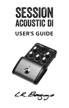



L.R. Ba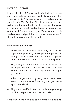## **INTRODUCTION**

Inspired by the LR Baggs Handcrafted Video Sessions and our experience in some of Nashville's great studios, Session Acoustic DI brings our signature studio sound to your live rig. The Session DI enhances your acoustic pickup and imparts the rich sonic character that you'd expect from an experienced audio engineer using some of the world's finest studio gear. We've captured this studio magic and put it into a compact, easy-to-use DI that will transform your live sound.

### **GETTING STARTED**

- 1. Power the Session DI with a 9V battery, 9V DC power supply (not provided) or 48V phantom power. An orange light will indicate 9V battery or DC power and a green light will indicate 48V phantom power.
- 2. Plug your guitar into the input to activate the Session DI (upper right hand side) and a cable to either the ¼" output (upper left hand side) or the XLR output (on the top).
- 3. Adjust the gain control by using the VU meter. Read section B in this manual for setting your gain to the appropriate level.
- 4. Plug the ¼" and/or XLR output cable into your amp or PA and experiment with the Session DI.

*Continue with this manual to learn more about its features.*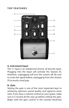#### **TOP FEATURES**



#### **A. Instrument Input**

The ¼" input is an unbalanced (mono), all discrete input. Plugging into the input will activate the Session DI, therefore, unplugging will turn the system off. Be sure to mute the signal before unplugging from the Session DI to avoid a loud pop.

#### **B. Gain**

Setting the gain is one of the most important keys to achieving optimum sound quality and signal-to-noise ratio. If you have a volume control on your guitar, make sure it is turned all the way up before setting the gain. Begin with the gain control in the counter-clockwise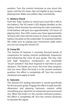position. Turn the control clockwise as you strum the guitar until the VU meter clips red slightly at your loudest playing level. Make sure yellow clips consistently.

### **C. Battery Check**

Push the "batt" button to check how much life is left in the battery. The VU meter's LED display doubles as the battery check function by reversing the color orientation. A full battery will give you approximately 125 hours of playing time. Two LEDs means you have approximately 30 hours left. One red LED means it's time to change the battery (located on the underside). To maximize battery life, make sure to unplug your instrument cable when you are not using the Session DI.

## **D. Comp EQ**

The Session DI features 3 narrowly focused bands of compression for taming common problematic frequencies and enhancing the voice of your guitar. The low, mid, and high frequency compressors are essentially "touch-sensitive" EQs that respond in real-time to your dynamics. The harder you strum, the more they compress and vice versa. When the knob is in the counter-clockwise position, the effect is completely off. Turn the control clockwise and apply to taste.

### **E. Saturate**

The Session DI's analog saturation is voiced specifically for the acoustic guitar. Engage the effect to add warmth, dimension and pleasing harmonic content while smoothing your signal for an enhanced, post-processed mix. When the knob is in the counter-clockwise position, the effect is completely off. Turn the control clockwise to saturate the signal.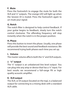### **F. Mute**

Press the footswitch to engage the mute for both the XLR and ¼" outputs. The orange LED will light up when the Session DI is muted. Press the footswitch again to un-mute your signal.

### **G. Notch**

The notch filter is designed to help control feedback. If your guitar begins to feedback, slowly turn the notch control clockwise. The offending frequency will stop instantly when the notch is in the proper position.

### **H. Phase**

Press this button to invert the phase. Usually, one phase will provide the best sound and feedback resistance. We recommend trying both phases each time you set up.

### **I. Volume**

The master volume affects both the ¼" and XLR outputs.

### **J. ¼" output**

The ¼" output is an unbalanced line level output. You can plug into any amp or device that has a ¼" input. For best results we recommend a full-range PA or high quality acoustic amplifier.

### **K. XLR output**

The XLR, or DI output (located on the top), is a balanced output for connecting to a mixing desk with a standard XLR cable.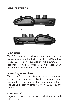#### **SIDE FEATURES**



#### **A. DC INPUT**

The DC power input is designed for a standard 2mm plug commonly used with effects pedals and "floor-box" products. Most power supplies or multi-power devices designed for musical products may be used. 9VDC recommended with a 12VDC maximum.

#### **B. HPF (High Pass Filter)**

The Session DI's high-pass filter may be used to attenuate extraneous low frequencies, allowing for an appropriate mix in different playing situations and sound systems. The variable "hpf" switches between 40, 80, 120 and 200Hz.

#### **C. Ground Lift**

Engage this switch to reduce or eliminate groundrelated noise.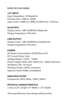### **SPECIFICATIONS**

**1/4" INPUT** Input Impedance: 10 Megohms Preamp Gain: -12dB to +26dB Input Level: -25dBv to 1.8dBv (0.53Vrms to 1.23Vrms)

**DI OUTPUT** Output Level: -1dBv (0.88VRms) Balanced Output Impedance: 470 ohms

# **LINE OUTPUT**

Output Level: -1dBv (0.88VRms) Unbalanced Output Impedance: 470 ohms

#### **POWER**

DC Power Consumption: 0.65W Max at 9V DC Current Draw: 3mA Voltage Range: 7.5VDC - 12VDC Power Supply: 9VDC with 100mA (or 1 Watt) minimum 9V Battery Life: 125 hours Phantom Power: 24VDC minimum Signal to Noise: 90dB, unweighted

**HIGH PASS FILTER** Frequencies: 40Hz, 80Hz, 120Hz, 200Hz

**PHYSICAL CHARACTERISTICS** 1.5Lbs, 6.25" Length x 4" Width x 1.75" Depth

*These specifications may change without notice.*